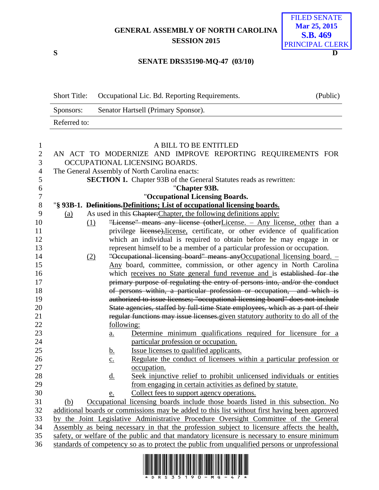## **GENERAL ASSEMBLY OF NORTH CAROLINA SESSION 2015**

## **S D** FILED SENATE **Mar 25, 2015 S.B. 469** PRINCIPAL CLERK

## **SENATE DRS35190-MQ-47 (03/10)**

|                  | <b>Short Title:</b> | Occupational Lic. Bd. Reporting Requirements.                                                  | (Public) |
|------------------|---------------------|------------------------------------------------------------------------------------------------|----------|
|                  | Sponsors:           | Senator Hartsell (Primary Sponsor).                                                            |          |
|                  | Referred to:        |                                                                                                |          |
| $\mathbf{1}$     |                     | A BILL TO BE ENTITLED                                                                          |          |
| $\overline{2}$   |                     | AN ACT TO MODERNIZE AND IMPROVE REPORTING REQUIREMENTS FOR                                     |          |
| 3                |                     | OCCUPATIONAL LICENSING BOARDS.                                                                 |          |
| 4                |                     | The General Assembly of North Carolina enacts:                                                 |          |
| 5                |                     | <b>SECTION 1.</b> Chapter 93B of the General Statutes reads as rewritten:                      |          |
| 6                |                     | "Chapter 93B.                                                                                  |          |
| $\boldsymbol{7}$ |                     | "Occupational Licensing Boards.                                                                |          |
| $8\,$            |                     | "§ 93B-1. Definitions. Definitions; List of occupational licensing boards.                     |          |
| 9                | <u>(a)</u>          | As used in this Chapter: Chapter, the following definitions apply:                             |          |
| 10               | (1)                 | "License" means any license (otherLicense. - Any license, other than a                         |          |
| 11               |                     | privilege license), license, certificate, or other evidence of qualification                   |          |
| 12               |                     | which an individual is required to obtain before he may engage in or                           |          |
| 13               |                     | represent himself to be a member of a particular profession or occupation.                     |          |
| 14               |                     | "Occupational licensing board" means any Occupational licensing board. -<br>(2)                |          |
| 15               |                     | Any board, committee, commission, or other agency in North Carolina                            |          |
| 16               |                     | which receives no State general fund revenue and is established for the                        |          |
| 17               |                     | primary purpose of regulating the entry of persons into, and/or the conduct                    |          |
| 18               |                     | of persons within, a particular profession or occupation, and which is                         |          |
| 19               |                     | authorized to issue licenses; "occupational licensing board" does not include                  |          |
| 20               |                     | State agencies, staffed by full-time State employees, which as a part of their                 |          |
| 21               |                     | regular functions may issue licenses.given statutory authority to do all of the                |          |
| 22               |                     | following:                                                                                     |          |
| 23               |                     | Determine minimum qualifications required for licensure for a<br>a.                            |          |
| 24               |                     | particular profession or occupation.                                                           |          |
| 25               |                     | Issue licenses to qualified applicants.<br><u>b.</u>                                           |          |
| 26               |                     | Regulate the conduct of licensees within a particular profession or<br>$\underline{c}$ .       |          |
| 27               |                     | occupation.                                                                                    |          |
| 28               |                     | Seek injunctive relief to prohibit unlicensed individuals or entities<br><u>d.</u>             |          |
| 29               |                     | from engaging in certain activities as defined by statute.                                     |          |
| 30               |                     | Collect fees to support agency operations.<br>e.                                               |          |
| 31               | (b)                 | Occupational licensing boards include those boards listed in this subsection. No               |          |
| 32               |                     | additional boards or commissions may be added to this list without first having been approved  |          |
| 33               |                     | by the Joint Legislative Administrative Procedure Oversight Committee of the General           |          |
| 34               |                     | Assembly as being necessary in that the profession subject to licensure affects the health,    |          |
| 35               |                     | safety, or welfare of the public and that mandatory licensure is necessary to ensure minimum   |          |
| 36               |                     | standards of competency so as to protect the public from unqualified persons or unprofessional |          |
|                  |                     |                                                                                                |          |

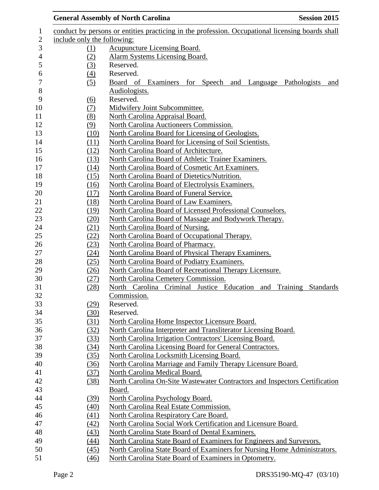|            | <b>General Assembly of North Carolina</b><br><b>Session 2015</b>                                 |  |  |  |
|------------|--------------------------------------------------------------------------------------------------|--|--|--|
|            | conduct by persons or entities practicing in the profession. Occupational licensing boards shall |  |  |  |
|            | include only the following:                                                                      |  |  |  |
| (1)        | <b>Acupuncture Licensing Board.</b>                                                              |  |  |  |
| (2)        | <b>Alarm Systems Licensing Board.</b>                                                            |  |  |  |
| (3)        | Reserved.                                                                                        |  |  |  |
| (4)        | Reserved.                                                                                        |  |  |  |
| (5)        | Board of Examiners for Speech and Language Pathologists<br>and                                   |  |  |  |
|            | Audiologists.                                                                                    |  |  |  |
| (6)        | Reserved.                                                                                        |  |  |  |
| <u>(7)</u> | Midwifery Joint Subcommittee.                                                                    |  |  |  |
| (8)        | North Carolina Appraisal Board.                                                                  |  |  |  |
| (9)        | North Carolina Auctioneers Commission.                                                           |  |  |  |
| (10)       | North Carolina Board for Licensing of Geologists.                                                |  |  |  |
| (11)       | North Carolina Board for Licensing of Soil Scientists.                                           |  |  |  |
| (12)       | North Carolina Board of Architecture.                                                            |  |  |  |
| (13)       | North Carolina Board of Athletic Trainer Examiners.                                              |  |  |  |
| (14)       | North Carolina Board of Cosmetic Art Examiners.                                                  |  |  |  |
| (15)       | North Carolina Board of Dietetics/Nutrition.                                                     |  |  |  |
| (16)       | North Carolina Board of Electrolysis Examiners.                                                  |  |  |  |
| (17)       | North Carolina Board of Funeral Service.                                                         |  |  |  |
| (18)       | North Carolina Board of Law Examiners.                                                           |  |  |  |
| (19)       | North Carolina Board of Licensed Professional Counselors.                                        |  |  |  |
| (20)       | North Carolina Board of Massage and Bodywork Therapy.                                            |  |  |  |
| (21)       | North Carolina Board of Nursing.                                                                 |  |  |  |
| (22)       | North Carolina Board of Occupational Therapy.                                                    |  |  |  |
| (23)       | North Carolina Board of Pharmacy.                                                                |  |  |  |
| (24)       | North Carolina Board of Physical Therapy Examiners.                                              |  |  |  |
| (25)       | North Carolina Board of Podiatry Examiners.                                                      |  |  |  |
| (26)       | North Carolina Board of Recreational Therapy Licensure.                                          |  |  |  |
| (27)       | North Carolina Cemetery Commission.                                                              |  |  |  |
| (28)       | North Carolina Criminal Justice Education and Training Standards                                 |  |  |  |
|            | Commission.                                                                                      |  |  |  |
| (29)       | Reserved.                                                                                        |  |  |  |
| (30)       | Reserved.                                                                                        |  |  |  |
| (31)       | North Carolina Home Inspector Licensure Board.                                                   |  |  |  |
| (32)       | North Carolina Interpreter and Transliterator Licensing Board.                                   |  |  |  |
| (33)       | North Carolina Irrigation Contractors' Licensing Board.                                          |  |  |  |
| (34)       | North Carolina Licensing Board for General Contractors.                                          |  |  |  |
| (35)       | North Carolina Locksmith Licensing Board.                                                        |  |  |  |
| (36)       | North Carolina Marriage and Family Therapy Licensure Board.                                      |  |  |  |
| (37)       | North Carolina Medical Board.                                                                    |  |  |  |
| (38)       | North Carolina On-Site Wastewater Contractors and Inspectors Certification                       |  |  |  |
|            | Board.                                                                                           |  |  |  |
| (39)       | North Carolina Psychology Board.                                                                 |  |  |  |
| (40)       | North Carolina Real Estate Commission.                                                           |  |  |  |
| (41)       | North Carolina Respiratory Care Board.                                                           |  |  |  |
| (42)       | North Carolina Social Work Certification and Licensure Board.                                    |  |  |  |
| (43)       | North Carolina State Board of Dental Examiners.                                                  |  |  |  |
| (44)       | North Carolina State Board of Examiners for Engineers and Surveyors.                             |  |  |  |
| (45)       | North Carolina State Board of Examiners for Nursing Home Administrators.                         |  |  |  |
| (46)       | North Carolina State Board of Examiners in Optometry.                                            |  |  |  |
|            |                                                                                                  |  |  |  |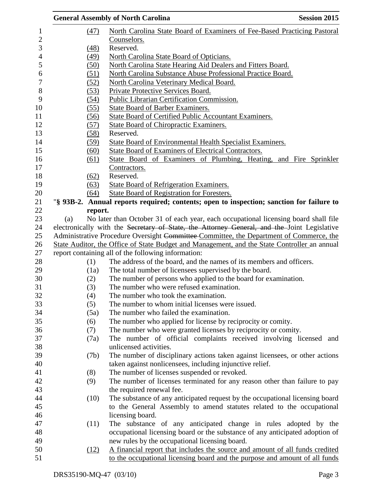|     |         | <b>General Assembly of North Carolina</b>                                                                                                                                          | <b>Session 2015</b> |
|-----|---------|------------------------------------------------------------------------------------------------------------------------------------------------------------------------------------|---------------------|
|     | (47)    | North Carolina State Board of Examiners of Fee-Based Practicing Pastoral                                                                                                           |                     |
|     |         | Counselors.                                                                                                                                                                        |                     |
|     | (48)    | Reserved.                                                                                                                                                                          |                     |
|     | (49)    | North Carolina State Board of Opticians.                                                                                                                                           |                     |
|     | (50)    | North Carolina State Hearing Aid Dealers and Fitters Board.                                                                                                                        |                     |
|     | (51)    | North Carolina Substance Abuse Professional Practice Board.                                                                                                                        |                     |
|     | (52)    | North Carolina Veterinary Medical Board.                                                                                                                                           |                     |
|     | (53)    | Private Protective Services Board.                                                                                                                                                 |                     |
|     | (54)    | Public Librarian Certification Commission.                                                                                                                                         |                     |
|     | (55)    | State Board of Barber Examiners.                                                                                                                                                   |                     |
|     | (56)    | <b>State Board of Certified Public Accountant Examiners.</b>                                                                                                                       |                     |
|     | (57)    | <b>State Board of Chiropractic Examiners.</b>                                                                                                                                      |                     |
|     | (58)    | Reserved.                                                                                                                                                                          |                     |
|     | (59)    | <b>State Board of Environmental Health Specialist Examiners.</b>                                                                                                                   |                     |
|     | (60)    | State Board of Examiners of Electrical Contractors.                                                                                                                                |                     |
|     | (61)    | State Board of Examiners of Plumbing, Heating, and Fire Sprinkler                                                                                                                  |                     |
|     |         | Contractors.                                                                                                                                                                       |                     |
|     | (62)    | Reserved.                                                                                                                                                                          |                     |
|     | (63)    | <b>State Board of Refrigeration Examiners.</b>                                                                                                                                     |                     |
|     | (64)    | <b>State Board of Registration for Foresters.</b>                                                                                                                                  |                     |
|     |         | "§ 93B-2. Annual reports required; contents; open to inspection; sanction for failure to                                                                                           |                     |
|     | report. |                                                                                                                                                                                    |                     |
| (a) |         | No later than October 31 of each year, each occupational licensing board shall file<br>electronically with the Secretary of State, the Attorney General, and the Joint Legislative |                     |
|     |         | Administrative Procedure Oversight Committee Committee, the Department of Commerce, the                                                                                            |                     |
|     |         | State Auditor, the Office of State Budget and Management, and the State Controller an annual                                                                                       |                     |
|     |         | report containing all of the following information:                                                                                                                                |                     |
|     | (1)     | The address of the board, and the names of its members and officers.                                                                                                               |                     |
|     | (1a)    | The total number of licensees supervised by the board.                                                                                                                             |                     |
|     | (2)     | The number of persons who applied to the board for examination.                                                                                                                    |                     |
|     | (3)     | The number who were refused examination.                                                                                                                                           |                     |
|     | (4)     | The number who took the examination.                                                                                                                                               |                     |
|     | (5)     | The number to whom initial licenses were issued.                                                                                                                                   |                     |
|     | (5a)    | The number who failed the examination.                                                                                                                                             |                     |
|     | (6)     | The number who applied for license by reciprocity or comity.                                                                                                                       |                     |
|     | (7)     | The number who were granted licenses by reciprocity or comity.                                                                                                                     |                     |
|     | (7a)    | The number of official complaints received involving licensed and                                                                                                                  |                     |
|     |         | unlicensed activities.                                                                                                                                                             |                     |
|     | (7b)    | The number of disciplinary actions taken against licensees, or other actions                                                                                                       |                     |
|     |         | taken against nonlicensees, including injunctive relief.                                                                                                                           |                     |
|     | (8)     | The number of licenses suspended or revoked.                                                                                                                                       |                     |
|     | (9)     | The number of licenses terminated for any reason other than failure to pay                                                                                                         |                     |
|     |         | the required renewal fee.                                                                                                                                                          |                     |
|     | (10)    | The substance of any anticipated request by the occupational licensing board                                                                                                       |                     |
|     |         | to the General Assembly to amend statutes related to the occupational                                                                                                              |                     |
|     |         | licensing board.                                                                                                                                                                   |                     |
|     | (11)    | The substance of any anticipated change in rules adopted by the                                                                                                                    |                     |
|     |         | occupational licensing board or the substance of any anticipated adoption of                                                                                                       |                     |
|     |         | new rules by the occupational licensing board.                                                                                                                                     |                     |
|     | (12)    | A financial report that includes the source and amount of all funds credited                                                                                                       |                     |
|     |         | to the occupational licensing board and the purpose and amount of all funds                                                                                                        |                     |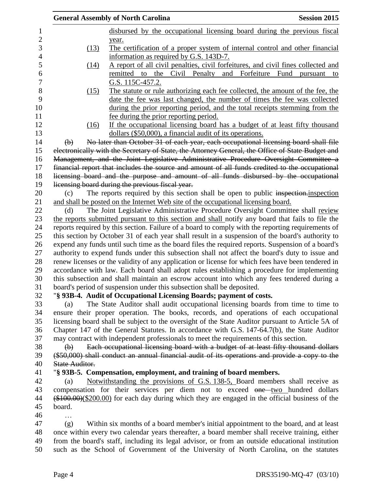|                           | <b>General Assembly of North Carolina</b>                                                         | <b>Session 2015</b>                  |
|---------------------------|---------------------------------------------------------------------------------------------------|--------------------------------------|
|                           | disbursed by the occupational licensing board during the previous fiscal                          |                                      |
|                           | year.                                                                                             |                                      |
| (13)                      | The certification of a proper system of internal control and other financial                      |                                      |
|                           | information as required by G.S. 143D-7.                                                           |                                      |
| (14)                      | A report of all civil penalties, civil forfeitures, and civil fines collected and                 |                                      |
|                           | Civil Penalty<br>and<br>remitted to the                                                           | Forfeiture<br>Fund<br>pursuant<br>to |
|                           | G.S. 115C-457.2.                                                                                  |                                      |
| (15)                      | The statute or rule authorizing each fee collected, the amount of the fee, the                    |                                      |
|                           | date the fee was last changed, the number of times the fee was collected                          |                                      |
|                           | during the prior reporting period, and the total receipts stemming from the                       |                                      |
|                           | fee during the prior reporting period.                                                            |                                      |
| (16)                      | If the occupational licensing board has a budget of at least fifty thousand                       |                                      |
|                           | dollars (\$50,000), a financial audit of its operations.                                          |                                      |
| $\bigoplus$               | No later than October 31 of each year, each occupational licensing board shall file               |                                      |
|                           | electronically with the Secretary of State, the Attorney General, the Office of State Budget and  |                                      |
|                           | Management, and the Joint Legislative Administrative Procedure Oversight Committee a              |                                      |
|                           | financial report that includes the source and amount of all funds credited to the occupational    |                                      |
|                           | licensing board and the purpose and amount of all funds disbursed by the occupational             |                                      |
|                           | licensing board during the previous fiscal year.                                                  |                                      |
| (c)                       | The reports required by this section shall be open to public inspection-inspection                |                                      |
|                           | and shall be posted on the Internet Web site of the occupational licensing board.                 |                                      |
| (d)                       | The Joint Legislative Administrative Procedure Oversight Committee shall review                   |                                      |
|                           | the reports submitted pursuant to this section and shall notify any board that fails to file the  |                                      |
|                           | reports required by this section. Failure of a board to comply with the reporting requirements of |                                      |
|                           | this section by October 31 of each year shall result in a suspension of the board's authority to  |                                      |
|                           | expend any funds until such time as the board files the required reports. Suspension of a board's |                                      |
|                           | authority to expend funds under this subsection shall not affect the board's duty to issue and    |                                      |
|                           | renew licenses or the validity of any application or license for which fees have been tendered in |                                      |
|                           | accordance with law. Each board shall adopt rules establishing a procedure for implementing       |                                      |
|                           | this subsection and shall maintain an escrow account into which any fees tendered during a        |                                      |
|                           | board's period of suspension under this subsection shall be deposited.                            |                                      |
|                           | "§ 93B-4. Audit of Occupational Licensing Boards; payment of costs.                               |                                      |
| (a)                       | The State Auditor shall audit occupational licensing boards from time to time to                  |                                      |
|                           | ensure their proper operation. The books, records, and operations of each occupational            |                                      |
|                           | licensing board shall be subject to the oversight of the State Auditor pursuant to Article 5A of  |                                      |
|                           | Chapter 147 of the General Statutes. In accordance with G.S. 147-64.7(b), the State Auditor       |                                      |
|                           | may contract with independent professionals to meet the requirements of this section.             |                                      |
| $\left(\mathbf{b}\right)$ | Each occupational licensing board with a budget of at least fifty thousand dollars                |                                      |
|                           | (\$50,000) shall conduct an annual financial audit of its operations and provide a copy to the    |                                      |
| <b>State Auditor.</b>     |                                                                                                   |                                      |
|                           | "§ 93B-5. Compensation, employment, and training of board members.                                |                                      |
| (a)                       | Notwithstanding the provisions of G.S. 138-5, Board members shall receive as                      |                                      |
|                           | compensation for their services per diem not to exceed one two hundred dollars                    |                                      |
|                           | $(*100.00)(\$200.00)$ for each day during which they are engaged in the official business of the  |                                      |
| board.                    |                                                                                                   |                                      |
|                           |                                                                                                   |                                      |
| (g)                       | Within six months of a board member's initial appointment to the board, and at least              |                                      |
|                           | once within every two calendar years thereafter, a board member shall receive training, either    |                                      |
|                           | from the board's staff, including its legal advisor, or from an outside educational institution   |                                      |
|                           | such as the School of Government of the University of North Carolina, on the statutes             |                                      |
|                           |                                                                                                   |                                      |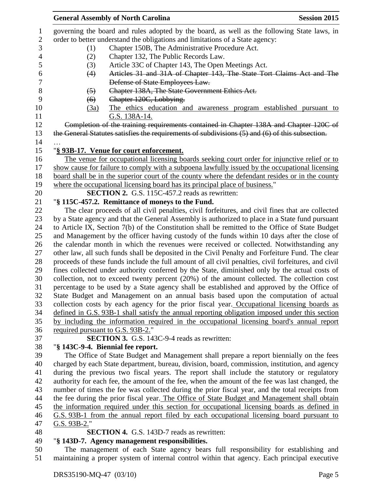|                  | <b>General Assembly of North Carolina</b><br><b>Session 2015</b>                                     |
|------------------|------------------------------------------------------------------------------------------------------|
| 1                | governing the board and rules adopted by the board, as well as the following State laws, in          |
| $\sqrt{2}$       | order to better understand the obligations and limitations of a State agency:                        |
| 3                | Chapter 150B, The Administrative Procedure Act.<br>(1)                                               |
| $\overline{4}$   | (2)<br>Chapter 132, The Public Records Law.                                                          |
| 5                | Article 33C of Chapter 143, The Open Meetings Act.<br>(3)                                            |
| 6                | Articles 31 and 31A of Chapter 143, The State Tort Claims Act and The<br>(4)                         |
| $\boldsymbol{7}$ | Defense of State Employees Law.                                                                      |
| $8\,$            | Chapter 138A, The State Government Ethics Act.<br>(5)                                                |
| 9                | Chapter 120C, Lobbying.<br>(6)                                                                       |
| 10               | The ethics education and awareness program established pursuant to<br>(3a)                           |
| 11               | G.S. 138A-14.                                                                                        |
| 12               | Completion of the training requirements contained in Chapter 138A and Chapter 120C of                |
| 13               | the General Statutes satisfies the requirements of subdivisions (5) and (6) of this subsection.      |
| 14               |                                                                                                      |
| 15               | "§ 93B-17. Venue for court enforcement.                                                              |
| 16               | The venue for occupational licensing boards seeking court order for injunctive relief or to          |
| 17               | show cause for failure to comply with a subpoena lawfully issued by the occupational licensing       |
| 18               | board shall be in the superior court of the county where the defendant resides or in the county      |
| 19               | where the occupational licensing board has its principal place of business."                         |
| 20               | <b>SECTION 2.</b> G.S. 115C-457.2 reads as rewritten:                                                |
| 21               | "§ 115C-457.2. Remittance of moneys to the Fund.                                                     |
| 22               | The clear proceeds of all civil penalties, civil forfeitures, and civil fines that are collected     |
| 23               | by a State agency and that the General Assembly is authorized to place in a State fund pursuant      |
| 24               | to Article IX, Section 7(b) of the Constitution shall be remitted to the Office of State Budget      |
| 25               | and Management by the officer having custody of the funds within 10 days after the close of          |
| 26               | the calendar month in which the revenues were received or collected. Notwithstanding any             |
| 27               | other law, all such funds shall be deposited in the Civil Penalty and Forfeiture Fund. The clear     |
| 28               | proceeds of these funds include the full amount of all civil penalties, civil forfeitures, and civil |
| 29               | fines collected under authority conferred by the State, diminished only by the actual costs of       |
| 30               | collection, not to exceed twenty percent (20%) of the amount collected. The collection cost          |
| 31               | percentage to be used by a State agency shall be established and approved by the Office of           |
| 32               | State Budget and Management on an annual basis based upon the computation of actual                  |
| 33               | collection costs by each agency for the prior fiscal year. Occupational licensing boards as          |
| 34               | defined in G.S. 93B-1 shall satisfy the annual reporting obligation imposed under this section       |
| 35               | by including the information required in the occupational licensing board's annual report            |
| 36               | required pursuant to G.S. 93B-2."                                                                    |
| 37               | <b>SECTION 3.</b> G.S. 143C-9-4 reads as rewritten:                                                  |
| 38               | "§ 143C-9-4. Biennial fee report.                                                                    |
| 39               | The Office of State Budget and Management shall prepare a report biennially on the fees              |
| 40               | charged by each State department, bureau, division, board, commission, institution, and agency       |
| 41               | during the previous two fiscal years. The report shall include the statutory or regulatory           |
| 42               | authority for each fee, the amount of the fee, when the amount of the fee was last changed, the      |
| 43               | number of times the fee was collected during the prior fiscal year, and the total receipts from      |
| 44               | the fee during the prior fiscal year. The Office of State Budget and Management shall obtain         |
| 45               | the information required under this section for occupational licensing boards as defined in          |
| 46               | G.S. 93B-1 from the annual report filed by each occupational licensing board pursuant to             |
| 47               | G.S. $93B-2$ ."                                                                                      |
| 48               | <b>SECTION 4.</b> G.S. 143D-7 reads as rewritten:                                                    |
| 49               | "§ 143D-7. Agency management responsibilities.                                                       |
| 50               | The management of each State agency bears full responsibility for establishing and                   |
| 51               | maintaining a proper system of internal control within that agency. Each principal executive         |